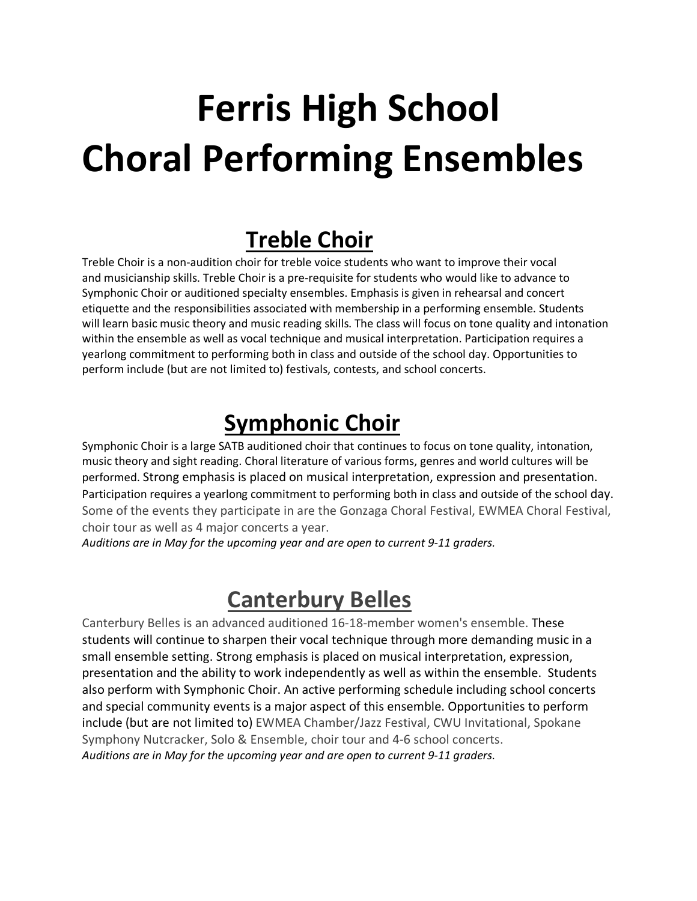# **Ferris High School Choral Performing Ensembles**

### **Treble Choir**

Treble Choir is a non-audition choir for treble voice students who want to improve their vocal and musicianship skills. Treble Choir is a pre-requisite for students who would like to advance to Symphonic Choir or auditioned specialty ensembles. Emphasis is given in rehearsal and concert etiquette and the responsibilities associated with membership in a performing ensemble. Students will learn basic music theory and music reading skills. The class will focus on tone quality and intonation within the ensemble as well as vocal technique and musical interpretation. Participation requires a yearlong commitment to performing both in class and outside of the school day. Opportunities to perform include (but are not limited to) festivals, contests, and school concerts.

## **Symphonic Choir**

Symphonic Choir is a large SATB auditioned choir that continues to focus on tone quality, intonation, music theory and sight reading. Choral literature of various forms, genres and world cultures will be performed. Strong emphasis is placed on musical interpretation, expression and presentation. Participation requires a yearlong commitment to performing both in class and outside of the school day. Some of the events they participate in are the Gonzaga Choral Festival, EWMEA Choral Festival, choir tour as well as 4 major concerts a year.

*Auditions are in May for the upcoming year and are open to current 9-11 graders.*

### **Canterbury Belles**

Canterbury Belles is an advanced auditioned 16-18-member women's ensemble. These students will continue to sharpen their vocal technique through more demanding music in a small ensemble setting. Strong emphasis is placed on musical interpretation, expression, presentation and the ability to work independently as well as within the ensemble. Students also perform with Symphonic Choir. An active performing schedule including school concerts and special community events is a major aspect of this ensemble. Opportunities to perform include (but are not limited to) EWMEA Chamber/Jazz Festival, CWU Invitational, Spokane Symphony Nutcracker, Solo & Ensemble, choir tour and 4-6 school concerts. *Auditions are in May for the upcoming year and are open to current 9-11 graders.*